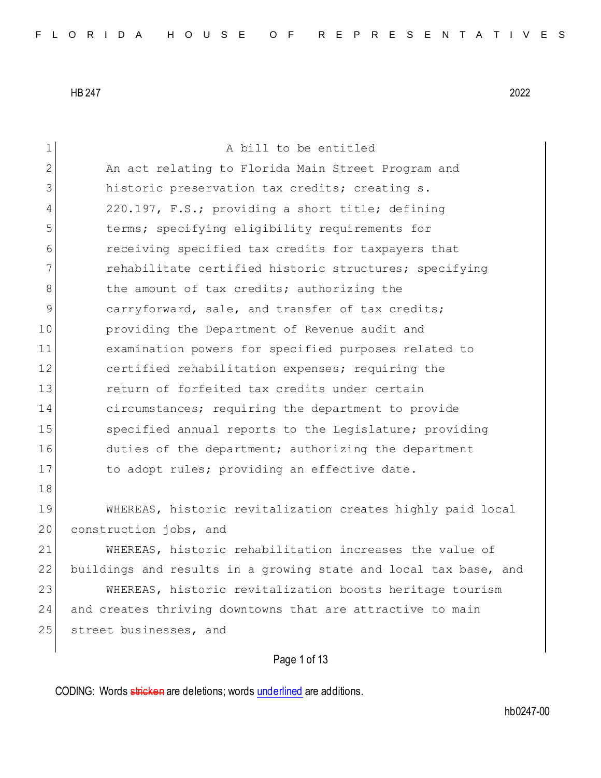| $\mathbf 1$ | A bill to be entitled                                            |
|-------------|------------------------------------------------------------------|
| 2           | An act relating to Florida Main Street Program and               |
| 3           | historic preservation tax credits; creating s.                   |
| 4           | 220.197, F.S.; providing a short title; defining                 |
| 5           | terms; specifying eligibility requirements for                   |
| 6           | receiving specified tax credits for taxpayers that               |
| 7           | rehabilitate certified historic structures; specifying           |
| 8           | the amount of tax credits; authorizing the                       |
| 9           | carryforward, sale, and transfer of tax credits;                 |
| 10          | providing the Department of Revenue audit and                    |
| 11          | examination powers for specified purposes related to             |
| 12          | certified rehabilitation expenses; requiring the                 |
| 13          | return of forfeited tax credits under certain                    |
| 14          | circumstances; requiring the department to provide               |
| 15          | specified annual reports to the Legislature; providing           |
| 16          | duties of the department; authorizing the department             |
| 17          | to adopt rules; providing an effective date.                     |
| 18          |                                                                  |
| 19          | WHEREAS, historic revitalization creates highly paid local       |
| 20          | construction jobs, and                                           |
| 21          | WHEREAS, historic rehabilitation increases the value of          |
| 22          | buildings and results in a growing state and local tax base, and |
| 23          | WHEREAS, historic revitalization boosts heritage tourism         |
| 24          | and creates thriving downtowns that are attractive to main       |
| 25          | street businesses, and                                           |
|             |                                                                  |

Page 1 of 13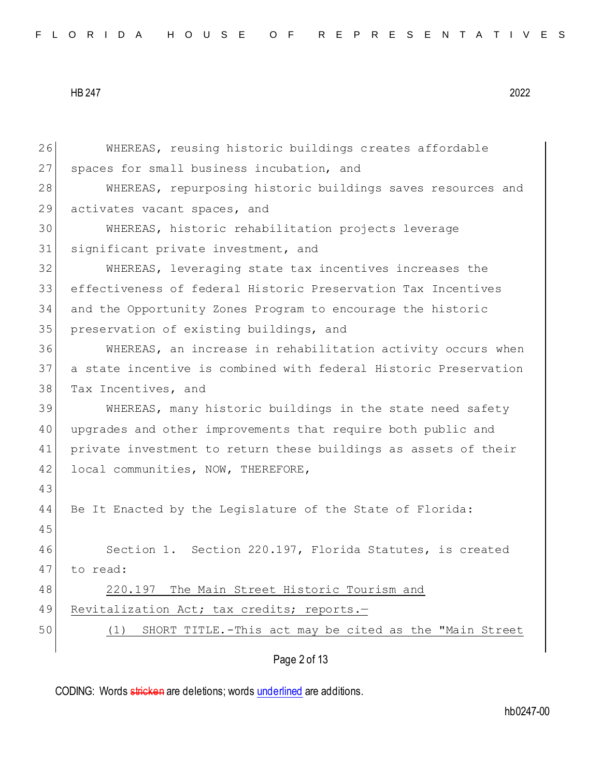```
HB 247 2022
```
Page 2 of 13 26 WHEREAS, reusing historic buildings creates affordable 27 spaces for small business incubation, and 28 WHEREAS, repurposing historic buildings saves resources and 29 activates vacant spaces, and 30 WHEREAS, historic rehabilitation projects leverage 31 significant private investment, and 32 WHEREAS, leveraging state tax incentives increases the 33 effectiveness of federal Historic Preservation Tax Incentives 34 and the Opportunity Zones Program to encourage the historic 35 preservation of existing buildings, and 36 WHEREAS, an increase in rehabilitation activity occurs when 37 a state incentive is combined with federal Historic Preservation 38 Tax Incentives, and 39 WHEREAS, many historic buildings in the state need safety 40 upgrades and other improvements that require both public and 41 private investment to return these buildings as assets of their 42 local communities, NOW, THEREFORE, 43 44 Be It Enacted by the Legislature of the State of Florida: 45 46 Section 1. Section 220.197, Florida Statutes, is created 47 to read: 48 220.197 The Main Street Historic Tourism and 49 Revitalization Act; tax credits; reports.-50 (1) SHORT TITLE.-This act may be cited as the "Main Street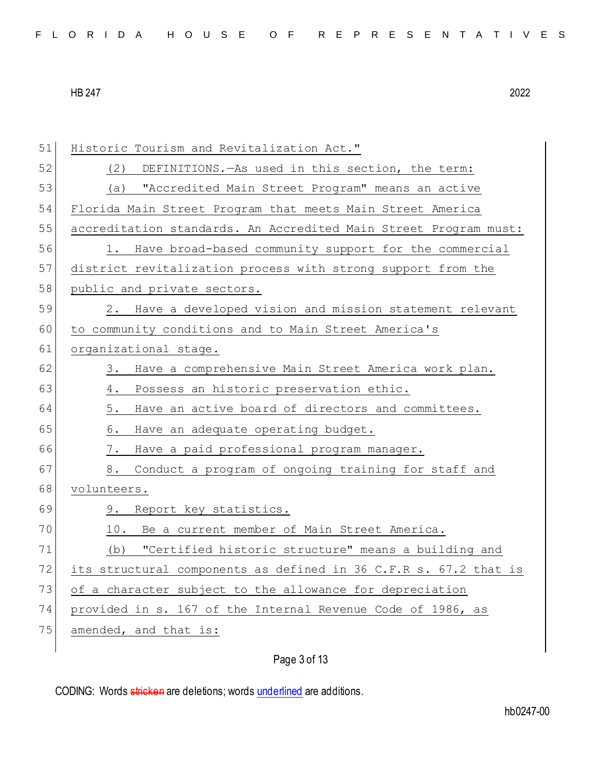| 51 | Historic Tourism and Revitalization Act."                        |
|----|------------------------------------------------------------------|
| 52 | DEFINITIONS. - As used in this section, the term:<br>(2)         |
| 53 | "Accredited Main Street Program" means an active<br>(a)          |
| 54 | Florida Main Street Program that meets Main Street America       |
| 55 | accreditation standards. An Accredited Main Street Program must: |
| 56 | 1. Have broad-based community support for the commercial         |
| 57 | district revitalization process with strong support from the     |
| 58 | public and private sectors.                                      |
| 59 | 2. Have a developed vision and mission statement relevant        |
| 60 | to community conditions and to Main Street America's             |
| 61 | organizational stage.                                            |
| 62 | Have a comprehensive Main Street America work plan.<br>3.        |
| 63 | Possess an historic preservation ethic.<br>4.                    |
| 64 | Have an active board of directors and committees.<br>5.          |
| 65 | Have an adequate operating budget.<br>6.                         |
| 66 | $7$ .<br>Have a paid professional program manager.               |
| 67 | Conduct a program of ongoing training for staff and<br>8.        |
| 68 | volunteers.                                                      |
| 69 | Report key statistics.<br>9.                                     |
| 70 | Be a current member of Main Street America.<br>10.               |
| 71 | "Certified historic structure" means a building and<br>(b)       |
| 72 | its structural components as defined in 36 C.F.R s. 67.2 that is |
| 73 | of a character subject to the allowance for depreciation         |
| 74 | provided in s. 167 of the Internal Revenue Code of 1986, as      |
| 75 | amended, and that is:                                            |
|    |                                                                  |

# Page 3 of 13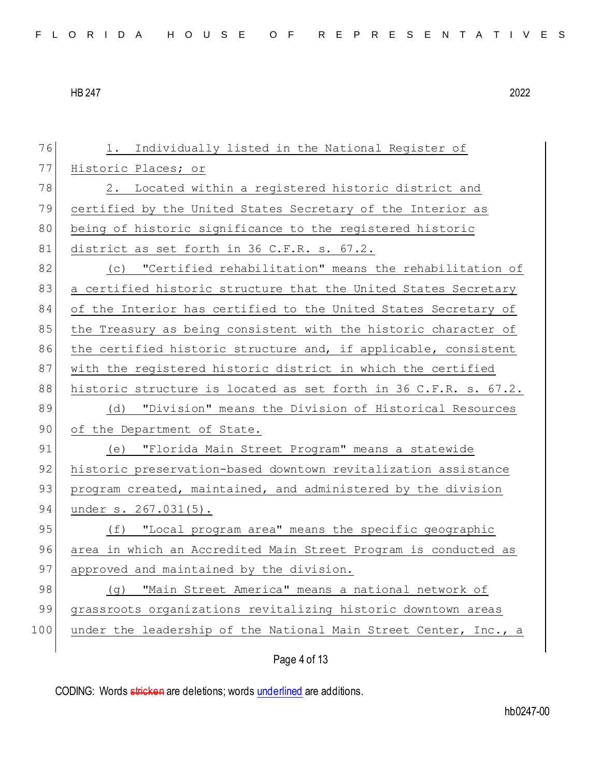76 1. Individually listed in the National Register of 77 Historic Places; or 78 2. Located within a registered historic district and 79 certified by the United States Secretary of the Interior as 80 being of historic significance to the registered historic 81 district as set forth in 36 C.F.R. s. 67.2. 82 (c) "Certified rehabilitation" means the rehabilitation of 83 a certified historic structure that the United States Secretary 84 of the Interior has certified to the United States Secretary of 85 the Treasury as being consistent with the historic character of 86 the certified historic structure and, if applicable, consistent 87 with the registered historic district in which the certified 88 historic structure is located as set forth in 36 C.F.R. s. 67.2. 89 (d) "Division" means the Division of Historical Resources 90 of the Department of State. 91 (e) "Florida Main Street Program" means a statewide 92 historic preservation-based downtown revitalization assistance 93 program created, maintained, and administered by the division 94 under s. 267.031(5). 95 (f) "Local program area" means the specific geographic 96 area in which an Accredited Main Street Program is conducted as 97 approved and maintained by the division. 98 (g) "Main Street America" means a national network of 99 grassroots organizations revitalizing historic downtown areas 100 under the leadership of the National Main Street Center, Inc., a

Page 4 of 13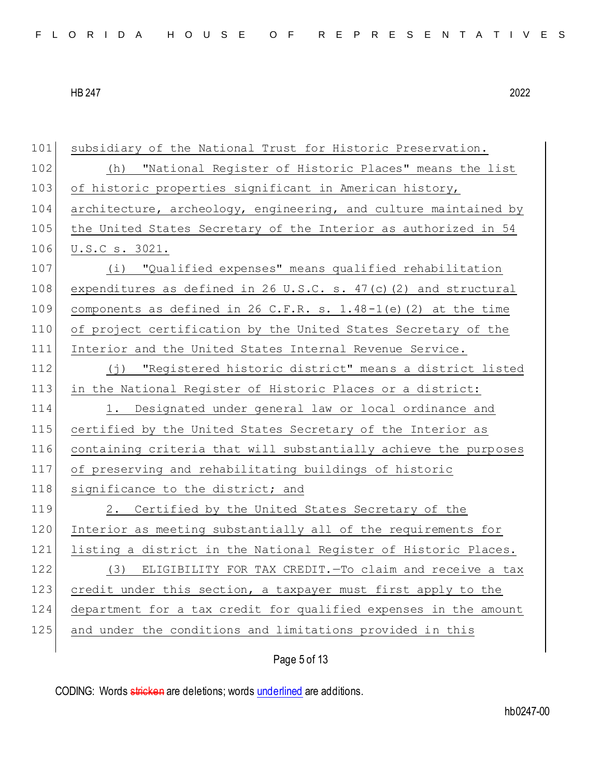| 101 | subsidiary of the National Trust for Historic Preservation.        |
|-----|--------------------------------------------------------------------|
| 102 | (h) "National Register of Historic Places" means the list          |
| 103 | of historic properties significant in American history,            |
| 104 | architecture, archeology, engineering, and culture maintained by   |
| 105 | the United States Secretary of the Interior as authorized in 54    |
| 106 | U.S.C s. 3021.                                                     |
| 107 | (i) "Qualified expenses" means qualified rehabilitation            |
| 108 | expenditures as defined in 26 U.S.C. s. $47(c)$ (2) and structural |
| 109 | components as defined in 26 C.F.R. s. 1.48-1(e) (2) at the time    |
| 110 | of project certification by the United States Secretary of the     |
| 111 | Interior and the United States Internal Revenue Service.           |
| 112 | (j) "Registered historic district" means a district listed         |
| 113 | in the National Register of Historic Places or a district:         |
| 114 | 1. Designated under general law or local ordinance and             |
| 115 | certified by the United States Secretary of the Interior as        |
| 116 | containing criteria that will substantially achieve the purposes   |
| 117 | of preserving and rehabilitating buildings of historic             |
| 118 | significance to the district; and                                  |
| 119 | 2. Certified by the United States Secretary of the                 |
| 120 | Interior as meeting substantially all of the requirements for      |
| 121 | listing a district in the National Register of Historic Places.    |
| 122 | (3) ELIGIBILITY FOR TAX CREDIT. - To claim and receive a tax       |
| 123 | credit under this section, a taxpayer must first apply to the      |
| 124 | department for a tax credit for qualified expenses in the amount   |
| 125 | and under the conditions and limitations provided in this          |
|     |                                                                    |

# Page 5 of 13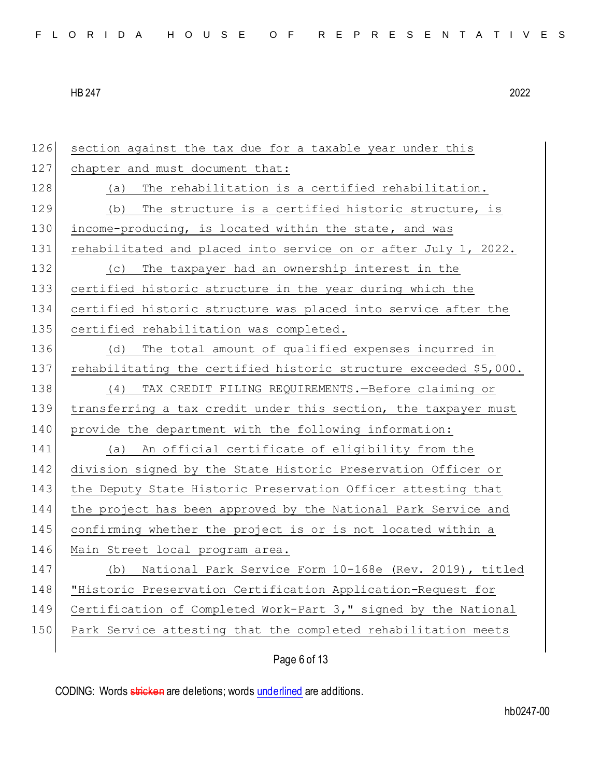section against the tax due for a taxable year under this 127 chapter and must document that: 128 (a) The rehabilitation is a certified rehabilitation. 129 (b) The structure is a certified historic structure, is 130 income-producing, is located within the state, and was 131 rehabilitated and placed into service on or after July 1, 2022. (c) The taxpayer had an ownership interest in the certified historic structure in the year during which the certified historic structure was placed into service after the 135 certified rehabilitation was completed. (d) The total amount of qualified expenses incurred in rehabilitating the certified historic structure exceeded \$5,000. (4) TAX CREDIT FILING REQUIREMENTS.—Before claiming or transferring a tax credit under this section, the taxpayer must provide the department with the following information: (a) An official certificate of eligibility from the division signed by the State Historic Preservation Officer or the Deputy State Historic Preservation Officer attesting that the project has been approved by the National Park Service and confirming whether the project is or is not located within a 146 Main Street local program area. 147 (b) National Park Service Form 10-168e (Rev. 2019), titled "Historic Preservation Certification Application–Request for Certification of Completed Work-Part 3," signed by the National Park Service attesting that the completed rehabilitation meets

Page 6 of 13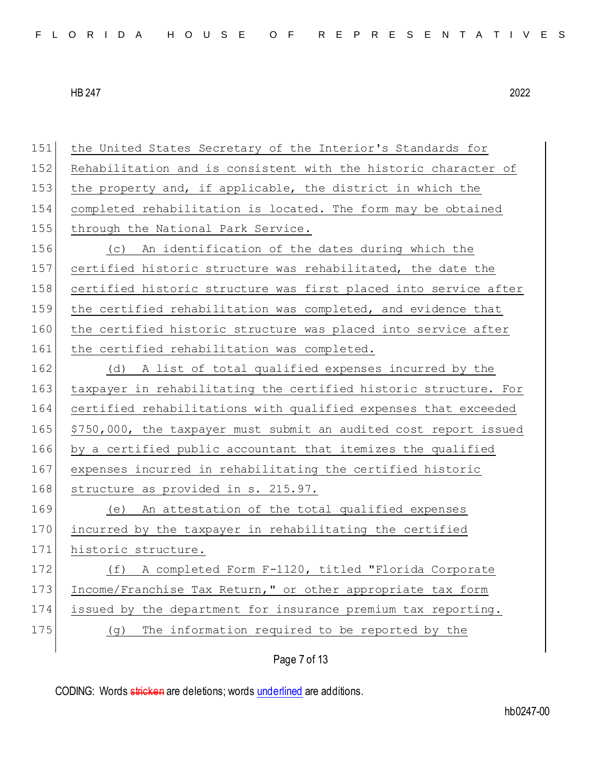151 the United States Secretary of the Interior's Standards for 152 Rehabilitation and is consistent with the historic character of 153 the property and, if applicable, the district in which the 154 completed rehabilitation is located. The form may be obtained 155 through the National Park Service. 156 (c) An identification of the dates during which the 157 certified historic structure was rehabilitated, the date the 158 certified historic structure was first placed into service after 159 the certified rehabilitation was completed, and evidence that 160 the certified historic structure was placed into service after 161 the certified rehabilitation was completed. 162 (d) A list of total qualified expenses incurred by the 163 taxpayer in rehabilitating the certified historic structure. For 164 certified rehabilitations with qualified expenses that exceeded 165 \$750,000, the taxpayer must submit an audited cost report issued 166 by a certified public accountant that itemizes the qualified 167 expenses incurred in rehabilitating the certified historic 168 structure as provided in s. 215.97. 169 (e) An attestation of the total qualified expenses 170 incurred by the taxpayer in rehabilitating the certified 171 historic structure. 172 (f) A completed Form F-1120, titled "Florida Corporate 173 Income/Franchise Tax Return," or other appropriate tax form 174 issued by the department for insurance premium tax reporting. 175 (g) The information required to be reported by the

Page 7 of 13

CODING: Words stricken are deletions; words underlined are additions.

hb0247-00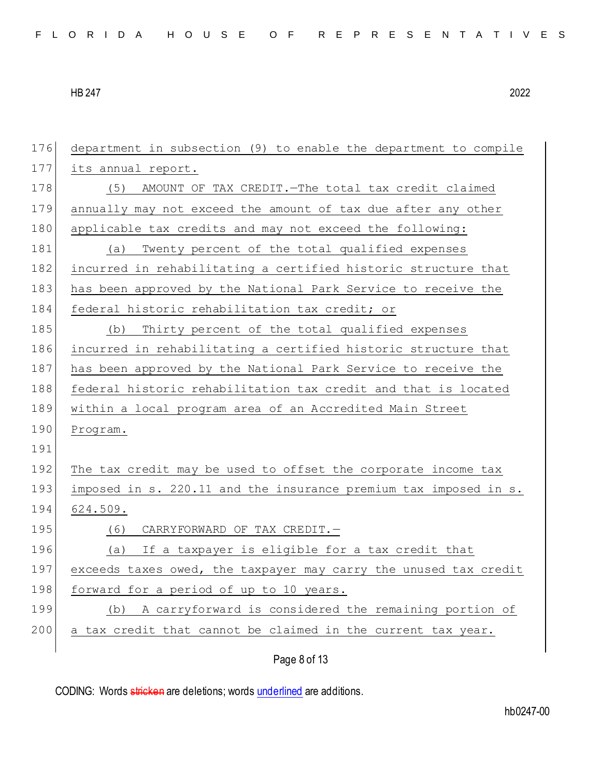| 176 | department in subsection (9) to enable the department to compile |
|-----|------------------------------------------------------------------|
| 177 | its annual report.                                               |
| 178 | (5)<br>AMOUNT OF TAX CREDIT. - The total tax credit claimed      |
| 179 | annually may not exceed the amount of tax due after any other    |
| 180 | applicable tax credits and may not exceed the following:         |
| 181 | Twenty percent of the total qualified expenses<br>(a)            |
| 182 | incurred in rehabilitating a certified historic structure that   |
| 183 | has been approved by the National Park Service to receive the    |
| 184 | federal historic rehabilitation tax credit; or                   |
| 185 | Thirty percent of the total qualified expenses<br>(b)            |
| 186 | incurred in rehabilitating a certified historic structure that   |
| 187 | has been approved by the National Park Service to receive the    |
| 188 | federal historic rehabilitation tax credit and that is located   |
| 189 | within a local program area of an Accredited Main Street         |
| 190 | Program.                                                         |
| 191 |                                                                  |
| 192 | The tax credit may be used to offset the corporate income tax    |
| 193 | imposed in s. 220.11 and the insurance premium tax imposed in s. |
| 194 | 624.509.                                                         |
| 195 | CARRYFORWARD OF TAX CREDIT. -<br>(6)                             |
| 196 | If a taxpayer is eligible for a tax credit that<br>(a)           |
| 197 | exceeds taxes owed, the taxpayer may carry the unused tax credit |
| 198 | forward for a period of up to 10 years.                          |
| 199 | A carryforward is considered the remaining portion of<br>(b)     |
| 200 | a tax credit that cannot be claimed in the current tax year.     |
|     | Page 8 of 13                                                     |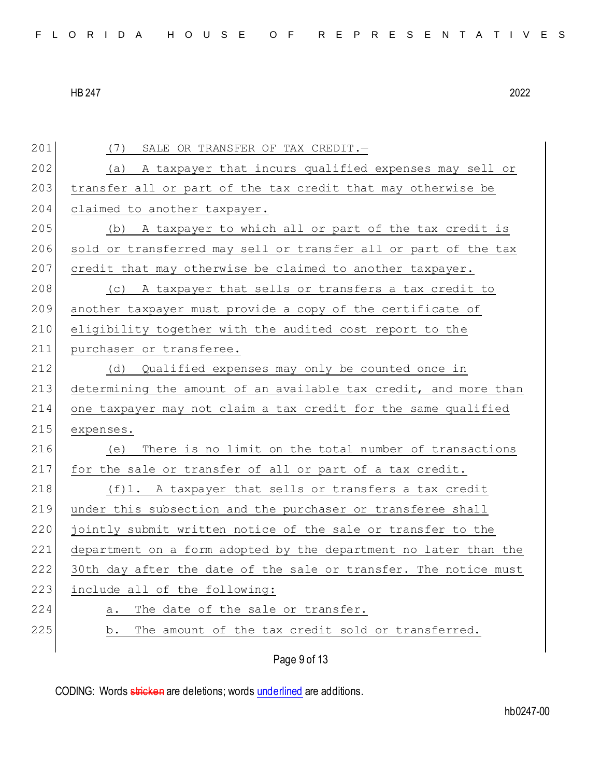201 (7) SALE OR TRANSFER OF TAX CREDIT. 202 (a) A taxpayer that incurs qualified expenses may sell or 203 transfer all or part of the tax credit that may otherwise be 204 claimed to another taxpayer. 205 (b) A taxpayer to which all or part of the tax credit is 206 sold or transferred may sell or transfer all or part of the tax 207 credit that may otherwise be claimed to another taxpayer. 208 (c) A taxpayer that sells or transfers a tax credit to 209 another taxpayer must provide a copy of the certificate of 210 eligibility together with the audited cost report to the 211 purchaser or transferee. 212 (d) Qualified expenses may only be counted once in 213 determining the amount of an available tax credit, and more than 214 one taxpayer may not claim a tax credit for the same qualified 215 expenses. 216 (e) There is no limit on the total number of transactions 217 for the sale or transfer of all or part of a tax credit. 218 (f)1. A taxpayer that sells or transfers a tax credit 219 under this subsection and the purchaser or transferee shall 220 jointly submit written notice of the sale or transfer to the 221 department on a form adopted by the department no later than the 222 30th day after the date of the sale or transfer. The notice must 223 include all of the following: 224 a. The date of the sale or transfer. 225 b. The amount of the tax credit sold or transferred.

Page 9 of 13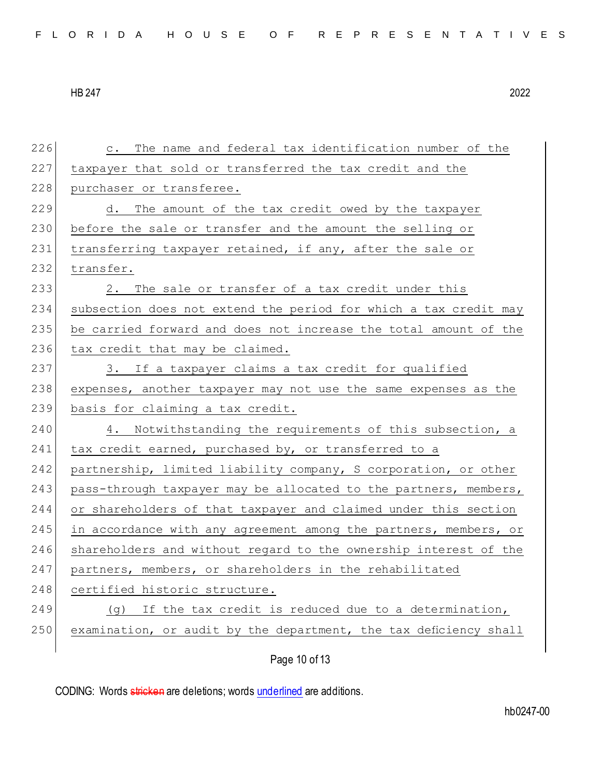226 c. The name and federal tax identification number of the 227 taxpayer that sold or transferred the tax credit and the 228 purchaser or transferee. 229 d. The amount of the tax credit owed by the taxpayer 230 before the sale or transfer and the amount the selling or 231 transferring taxpayer retained, if any, after the sale or 232 transfer. 233 2. The sale or transfer of a tax credit under this 234 subsection does not extend the period for which a tax credit may 235 be carried forward and does not increase the total amount of the 236 tax credit that may be claimed. 237 3. If a taxpayer claims a tax credit for qualified 238 expenses, another taxpayer may not use the same expenses as the 239 basis for claiming a tax credit. 240 4. Notwithstanding the requirements of this subsection, a 241 tax credit earned, purchased by, or transferred to a 242 partnership, limited liability company, S corporation, or other 243 pass-through taxpayer may be allocated to the partners, members, 244 or shareholders of that taxpayer and claimed under this section 245 in accordance with any agreement among the partners, members, or 246 shareholders and without regard to the ownership interest of the 247 partners, members, or shareholders in the rehabilitated 248 certified historic structure. 249 (g) If the tax credit is reduced due to a determination, 250 examination, or audit by the department, the tax deficiency shall

Page 10 of 13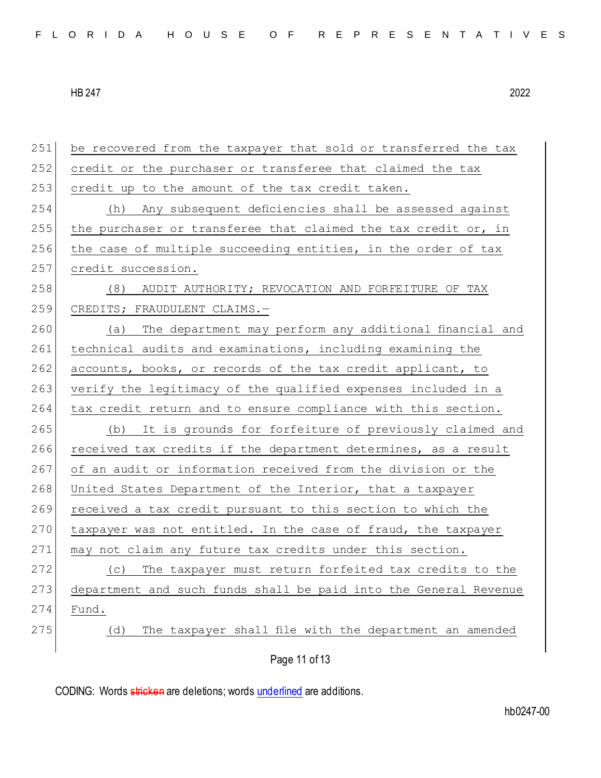| 251 | be recovered from the taxpayer that sold or transferred the tax  |
|-----|------------------------------------------------------------------|
| 252 | credit or the purchaser or transferee that claimed the tax       |
| 253 | credit up to the amount of the tax credit taken.                 |
| 254 | Any subsequent deficiencies shall be assessed against<br>(h)     |
| 255 | the purchaser or transferee that claimed the tax credit or, in   |
| 256 | the case of multiple succeeding entities, in the order of tax    |
| 257 | credit succession.                                               |
| 258 | AUDIT AUTHORITY; REVOCATION AND FORFEITURE OF TAX<br>(8)         |
| 259 | CREDITS; FRAUDULENT CLAIMS.-                                     |
| 260 | The department may perform any additional financial and<br>(a)   |
| 261 | technical audits and examinations, including examining the       |
| 262 | accounts, books, or records of the tax credit applicant, to      |
| 263 | verify the legitimacy of the qualified expenses included in a    |
| 264 | tax credit return and to ensure compliance with this section.    |
| 265 | (b) It is grounds for forfeiture of previously claimed and       |
| 266 | received tax credits if the department determines, as a result   |
| 267 | of an audit or information received from the division or the     |
| 268 | United States Department of the Interior, that a taxpayer        |
| 269 | received a tax credit pursuant to this section to which the      |
| 270 | taxpayer was not entitled. In the case of fraud, the taxpayer    |
| 271 | may not claim any future tax credits under this section.         |
| 272 | The taxpayer must return forfeited tax credits to the<br>(C)     |
| 273 | department and such funds shall be paid into the General Revenue |
| 274 | Fund.                                                            |
| 275 | The taxpayer shall file with the department an amended<br>(d)    |
|     | Page 11 of 13                                                    |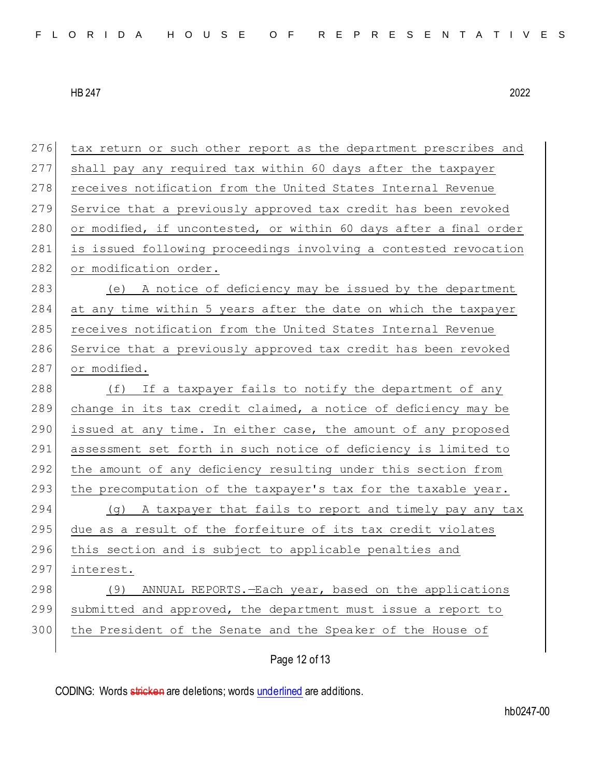| 276 | tax return or such other report as the department prescribes and   |
|-----|--------------------------------------------------------------------|
| 277 | shall pay any required tax within 60 days after the taxpayer       |
| 278 | receives notification from the United States Internal Revenue      |
| 279 | Service that a previously approved tax credit has been revoked     |
| 280 | or modified, if uncontested, or within 60 days after a final order |
| 281 | is issued following proceedings involving a contested revocation   |
| 282 | or modification order.                                             |
| 283 | (e) A notice of deficiency may be issued by the department         |
| 284 | at any time within 5 years after the date on which the taxpayer    |
| 285 | receives notification from the United States Internal Revenue      |
| 286 | Service that a previously approved tax credit has been revoked     |
| 287 | or modified.                                                       |
| 288 | (f) If a taxpayer fails to notify the department of any            |
| 289 | change in its tax credit claimed, a notice of deficiency may be    |
| 290 | issued at any time. In either case, the amount of any proposed     |
| 291 | assessment set forth in such notice of deficiency is limited to    |
| 292 | the amount of any deficiency resulting under this section from     |
| 293 | the precomputation of the taxpayer's tax for the taxable year.     |
| 294 | (g) A taxpayer that fails to report and timely pay any tax         |
| 295 | due as a result of the forfeiture of its tax credit violates       |
| 296 | this section and is subject to applicable penalties and            |
| 297 | interest.                                                          |
| 298 | (9) ANNUAL REPORTS. - Each year, based on the applications         |
| 299 | submitted and approved, the department must issue a report to      |
| 300 | the President of the Senate and the Speaker of the House of        |
|     |                                                                    |

Page 12 of 13